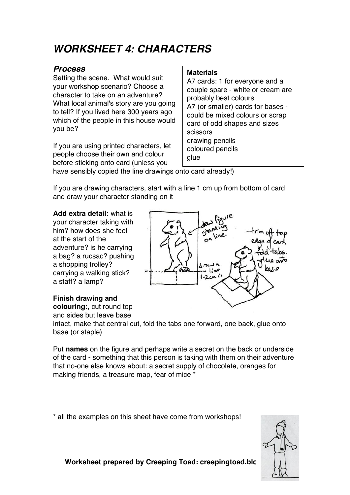# *WORKSHEET 4: CHARACTERS*

#### *Process*

Setting the scene. What would suit your workshop scenario? Choose a character to take on an adventure? What local animal's story are you going to tell? If you lived here 300 years ago which of the people in this house would you be?

If you are using printed characters, let people choose their own and colour before sticking onto card (unless you

#### **Materials**

A7 cards: 1 for everyone and a couple spare - white or cream are probably best colours A7 (or smaller) cards for bases could be mixed colours or scrap card of odd shapes and sizes scissors drawing pencils coloured pencils glue

have sensibly copied the line drawings onto card already!)

If you are drawing characters, start with a line 1 cm up from bottom of card and draw your character standing on it

**Add extra detail:** what is your character taking with him? how does she feel at the start of the adventure? is he carrying a bag? a rucsac? pushing a shopping trolley? carrying a walking stick? a staff? a lamp?

### **Finish drawing and**

**colouring:**, cut round top and sides but leave base



intact, make that central cut, fold the tabs one forward, one back, glue onto base (or staple)

Put **names** on the figure and perhaps write a secret on the back or underside of the card - something that this person is taking with them on their adventure that no-one else knows about: a secret supply of chocolate, oranges for making friends, a treasure map, fear of mice \*

\* all the examples on this sheet have come from workshops!



Worksheet prepared by Creeping Toad: creepingtoad.blo